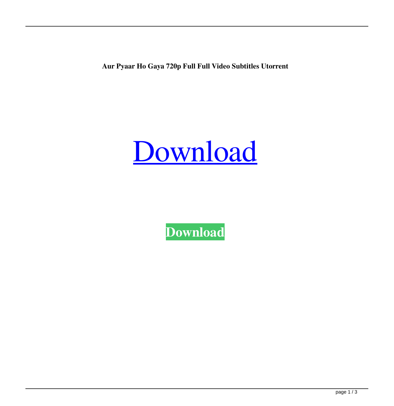**Aur Pyaar Ho Gaya 720p Full Full Video Subtitles Utorrent**



**[Download](http://evacdir.com/gale=unworthy/QXVyIFB5YWFyIEhvIEdheWEgRnVsbCBNb3ZpZXMgNzIwcAQXV.grandmama?ZG93bmxvYWR8SFM5WjNSOGZERTJOVEkzTkRBNE5qWjhmREkxTnpSOGZDaE5LU0J5WldGa0xXSnNiMmNnVzBaaGMzUWdSMFZPWFE=invigoration)**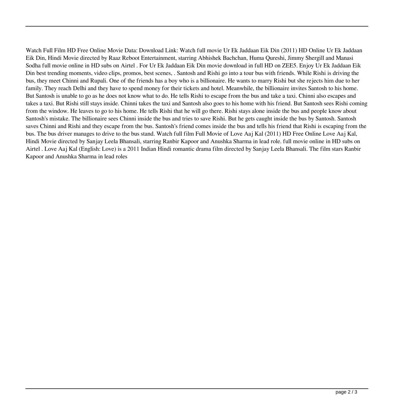Watch Full Film HD Free Online Movie Data: Download Link: Watch full movie Ur Ek Jaddaan Eik Din (2011) HD Online Ur Ek Jaddaan Eik Din, Hindi Movie directed by Raaz Reboot Entertainment, starring Abhishek Bachchan, Huma Qureshi, Jimmy Shergill and Manasi Sodha full movie online in HD subs on Airtel . For Ur Ek Jaddaan Eik Din movie download in full HD on ZEE5. Enjoy Ur Ek Jaddaan Eik Din best trending moments, video clips, promos, best scenes, . Santosh and Rishi go into a tour bus with friends. While Rishi is driving the bus, they meet Chinni and Rupali. One of the friends has a boy who is a billionaire. He wants to marry Rishi but she rejects him due to her family. They reach Delhi and they have to spend money for their tickets and hotel. Meanwhile, the billionaire invites Santosh to his home. But Santosh is unable to go as he does not know what to do. He tells Rishi to escape from the bus and take a taxi. Chinni also escapes and takes a taxi. But Rishi still stays inside. Chinni takes the taxi and Santosh also goes to his home with his friend. But Santosh sees Rishi coming from the window. He leaves to go to his home. He tells Rishi that he will go there. Rishi stays alone inside the bus and people know about Santosh's mistake. The billionaire sees Chinni inside the bus and tries to save Rishi. But he gets caught inside the bus by Santosh. Santosh saves Chinni and Rishi and they escape from the bus. Santosh's friend comes inside the bus and tells his friend that Rishi is escaping from the bus. The bus driver manages to drive to the bus stand. Watch full film Full Movie of Love Aaj Kal (2011) HD Free Online Love Aaj Kal, Hindi Movie directed by Sanjay Leela Bhansali, starring Ranbir Kapoor and Anushka Sharma in lead role. full movie online in HD subs on Airtel . Love Aaj Kal (English: Love) is a 2011 Indian Hindi romantic drama film directed by Sanjay Leela Bhansali. The film stars Ranbir Kapoor and Anushka Sharma in lead roles